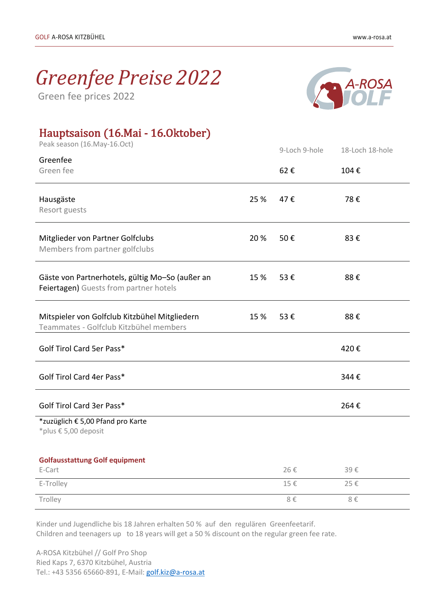## *Greenfee Preise 2022*

Green fee prices 2022



## Hauptsaison (16.Mai - 16.Oktober)

| Peak season (16. May-16. Oct)                                      |      | 9-Loch 9-hole | 18-Loch 18-hole |
|--------------------------------------------------------------------|------|---------------|-----------------|
| Greenfee                                                           |      |               |                 |
| Green fee                                                          |      | 62€           | 104€            |
|                                                                    |      |               |                 |
| Hausgäste                                                          | 25 % | 47€           | 78€             |
| Resort guests                                                      |      |               |                 |
|                                                                    |      |               |                 |
| Mitglieder von Partner Golfclubs<br>Members from partner golfclubs | 20 % | 50€           | 83€             |
|                                                                    |      |               |                 |
| Gäste von Partnerhotels, gültig Mo-So (außer an                    | 15 % | 53€           | 88€             |
| Feiertagen) Guests from partner hotels                             |      |               |                 |
|                                                                    |      |               |                 |
| Mitspieler von Golfclub Kitzbühel Mitgliedern                      | 15 % | 53€           | 88€             |
| Teammates - Golfclub Kitzbühel members                             |      |               |                 |
| Golf Tirol Card 5er Pass*                                          |      |               | 420€            |
|                                                                    |      |               |                 |
| Golf Tirol Card 4er Pass*                                          |      |               | 344€            |
|                                                                    |      |               |                 |
|                                                                    |      |               |                 |
| Golf Tirol Card 3er Pass*                                          |      |               | 264€            |
| *zuzüglich € 5,00 Pfand pro Karte<br>*plus € 5,00 deposit          |      |               |                 |
|                                                                    |      |               |                 |
| <b>Golfausstattung Golf equipment</b>                              |      |               |                 |
| E-Cart                                                             |      | 26€           | 39€             |
| E-Trolley                                                          |      | 15€           | 25€             |
| Trolley                                                            |      | 8 $\in$       | 8 $\in$         |

 Kinder und Jugendliche bis 18 Jahren erhalten 50 % auf den regulären Greenfeetarif. Children and teenagers up to 18 years will get a 50 % discount on the regular green fee rate.

 A-ROSA Kitzbühel // Golf Pro Shop Ried Kaps 7, 6370 Kitzbühel, Austria Tel.: +43 5356 65660-891, E-Mail[: golf.kiz@a-rosa.at](mailto:golf.kiz@a-rosa.at)